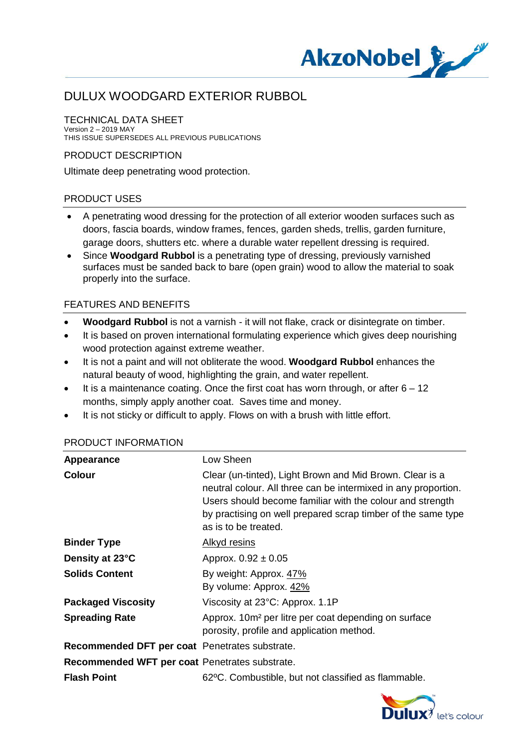

#### TECHNICAL DATA SHEET Version 2 – 2019 MAY

THIS ISSUE SUPERSEDES ALL PREVIOUS PUBLICATIONS

### PRODUCT DESCRIPTION

Ultimate deep penetrating wood protection.

## PRODUCT USES

- · A penetrating wood dressing for the protection of all exterior wooden surfaces such as doors, fascia boards, window frames, fences, garden sheds, trellis, garden furniture, garage doors, shutters etc. where a durable water repellent dressing is required.
- · Since **Woodgard Rubbol** is a penetrating type of dressing, previously varnished surfaces must be sanded back to bare (open grain) wood to allow the material to soak properly into the surface.

## FEATURES AND BENEFITS

- · **Woodgard Rubbol** is not a varnish it will not flake, crack or disintegrate on timber.
- · It is based on proven international formulating experience which gives deep nourishing wood protection against extreme weather.
- · It is not a paint and will not obliterate the wood. **Woodgard Rubbol** enhances the natural beauty of wood, highlighting the grain, and water repellent.
- $\bullet$  It is a maintenance coating. Once the first coat has worn through, or after  $6 12$ months, simply apply another coat. Saves time and money.
- · It is not sticky or difficult to apply. Flows on with a brush with little effort.

### PRODUCT INFORMATION

| <b>Appearance</b>                              | Low Sheen                                                                                                                                                                                                                                                                       |
|------------------------------------------------|---------------------------------------------------------------------------------------------------------------------------------------------------------------------------------------------------------------------------------------------------------------------------------|
| <b>Colour</b>                                  | Clear (un-tinted), Light Brown and Mid Brown. Clear is a<br>neutral colour. All three can be intermixed in any proportion.<br>Users should become familiar with the colour and strength<br>by practising on well prepared scrap timber of the same type<br>as is to be treated. |
| <b>Binder Type</b>                             | <u>Alkyd resins</u>                                                                                                                                                                                                                                                             |
| Density at 23°C                                | Approx. $0.92 \pm 0.05$                                                                                                                                                                                                                                                         |
| <b>Solids Content</b>                          | By weight: Approx. 47%<br>By volume: Approx. 42%                                                                                                                                                                                                                                |
| <b>Packaged Viscosity</b>                      | Viscosity at 23°C: Approx. 1.1P                                                                                                                                                                                                                                                 |
| <b>Spreading Rate</b>                          | Approx. 10m <sup>2</sup> per litre per coat depending on surface<br>porosity, profile and application method.                                                                                                                                                                   |
| Recommended DFT per coat Penetrates substrate. |                                                                                                                                                                                                                                                                                 |
| Recommended WFT per coat Penetrates substrate. |                                                                                                                                                                                                                                                                                 |
| <b>Flash Point</b>                             | 62°C. Combustible, but not classified as flammable.                                                                                                                                                                                                                             |

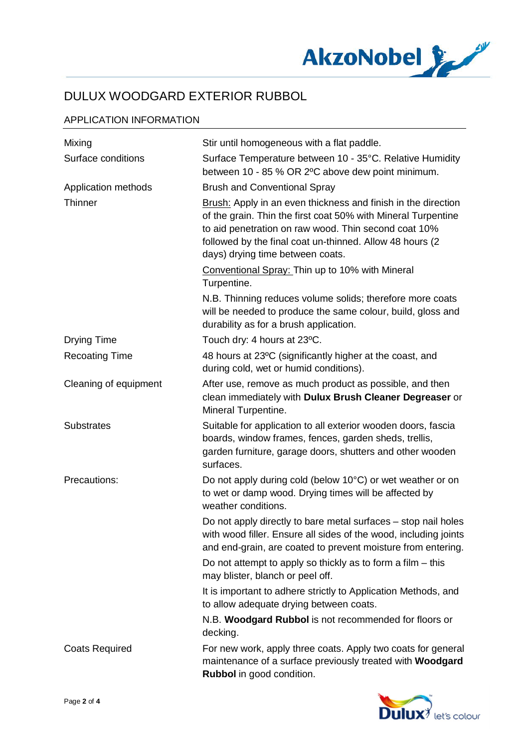

## APPLICATION INFORMATION

| Mixing                | Stir until homogeneous with a flat paddle.                                                                                                                                                                                                                                              |
|-----------------------|-----------------------------------------------------------------------------------------------------------------------------------------------------------------------------------------------------------------------------------------------------------------------------------------|
| Surface conditions    | Surface Temperature between 10 - 35°C. Relative Humidity<br>between 10 - 85 % OR 2°C above dew point minimum.                                                                                                                                                                           |
| Application methods   | <b>Brush and Conventional Spray</b>                                                                                                                                                                                                                                                     |
| Thinner               | Brush: Apply in an even thickness and finish in the direction<br>of the grain. Thin the first coat 50% with Mineral Turpentine<br>to aid penetration on raw wood. Thin second coat 10%<br>followed by the final coat un-thinned. Allow 48 hours (2)<br>days) drying time between coats. |
|                       | Conventional Spray: Thin up to 10% with Mineral<br>Turpentine.                                                                                                                                                                                                                          |
|                       | N.B. Thinning reduces volume solids; therefore more coats<br>will be needed to produce the same colour, build, gloss and<br>durability as for a brush application.                                                                                                                      |
| <b>Drying Time</b>    | Touch dry: 4 hours at 23°C.                                                                                                                                                                                                                                                             |
| <b>Recoating Time</b> | 48 hours at 23°C (significantly higher at the coast, and<br>during cold, wet or humid conditions).                                                                                                                                                                                      |
| Cleaning of equipment | After use, remove as much product as possible, and then<br>clean immediately with Dulux Brush Cleaner Degreaser or<br>Mineral Turpentine.                                                                                                                                               |
| <b>Substrates</b>     | Suitable for application to all exterior wooden doors, fascia<br>boards, window frames, fences, garden sheds, trellis,<br>garden furniture, garage doors, shutters and other wooden<br>surfaces.                                                                                        |
| Precautions:          | Do not apply during cold (below 10°C) or wet weather or on<br>to wet or damp wood. Drying times will be affected by<br>weather conditions.                                                                                                                                              |
|                       | Do not apply directly to bare metal surfaces – stop nail holes<br>with wood filler. Ensure all sides of the wood, including joints<br>and end-grain, are coated to prevent moisture from entering.                                                                                      |
|                       | Do not attempt to apply so thickly as to form a film $-$ this<br>may blister, blanch or peel off.                                                                                                                                                                                       |
|                       | It is important to adhere strictly to Application Methods, and<br>to allow adequate drying between coats.                                                                                                                                                                               |
|                       | N.B. Woodgard Rubbol is not recommended for floors or<br>decking.                                                                                                                                                                                                                       |
| <b>Coats Required</b> | For new work, apply three coats. Apply two coats for general<br>maintenance of a surface previously treated with Woodgard<br>Rubbol in good condition.                                                                                                                                  |

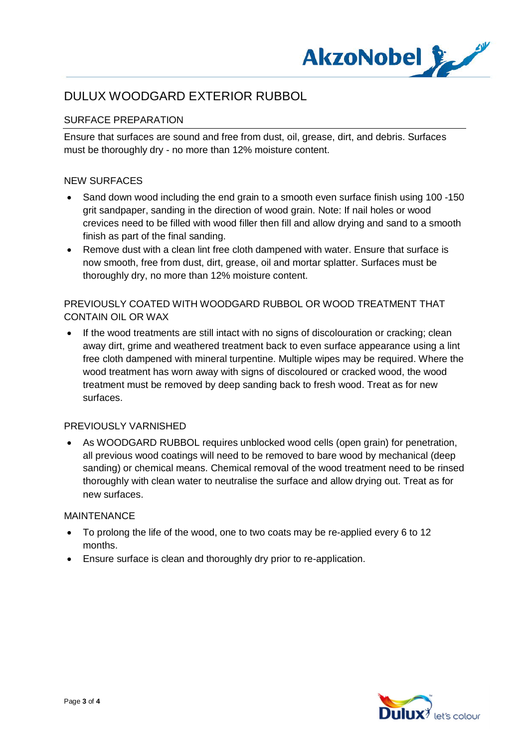

## SURFACE PREPARATION

Ensure that surfaces are sound and free from dust, oil, grease, dirt, and debris. Surfaces must be thoroughly dry - no more than 12% moisture content.

### NEW SURFACES

- Sand down wood including the end grain to a smooth even surface finish using 100 -150 grit sandpaper, sanding in the direction of wood grain. Note: If nail holes or wood crevices need to be filled with wood filler then fill and allow drying and sand to a smooth finish as part of the final sanding.
- Remove dust with a clean lint free cloth dampened with water. Ensure that surface is now smooth, free from dust, dirt, grease, oil and mortar splatter. Surfaces must be thoroughly dry, no more than 12% moisture content.

## PREVIOUSLY COATED WITH WOODGARD RUBBOL OR WOOD TREATMENT THAT CONTAIN OIL OR WAX

• If the wood treatments are still intact with no signs of discolouration or cracking; clean away dirt, grime and weathered treatment back to even surface appearance using a lint free cloth dampened with mineral turpentine. Multiple wipes may be required. Where the wood treatment has worn away with signs of discoloured or cracked wood, the wood treatment must be removed by deep sanding back to fresh wood. Treat as for new surfaces.

### PREVIOUSLY VARNISHED

· As WOODGARD RUBBOL requires unblocked wood cells (open grain) for penetration, all previous wood coatings will need to be removed to bare wood by mechanical (deep sanding) or chemical means. Chemical removal of the wood treatment need to be rinsed thoroughly with clean water to neutralise the surface and allow drying out. Treat as for new surfaces.

### MAINTENANCE

- · To prolong the life of the wood, one to two coats may be re-applied every 6 to 12 months.
- · Ensure surface is clean and thoroughly dry prior to re-application.